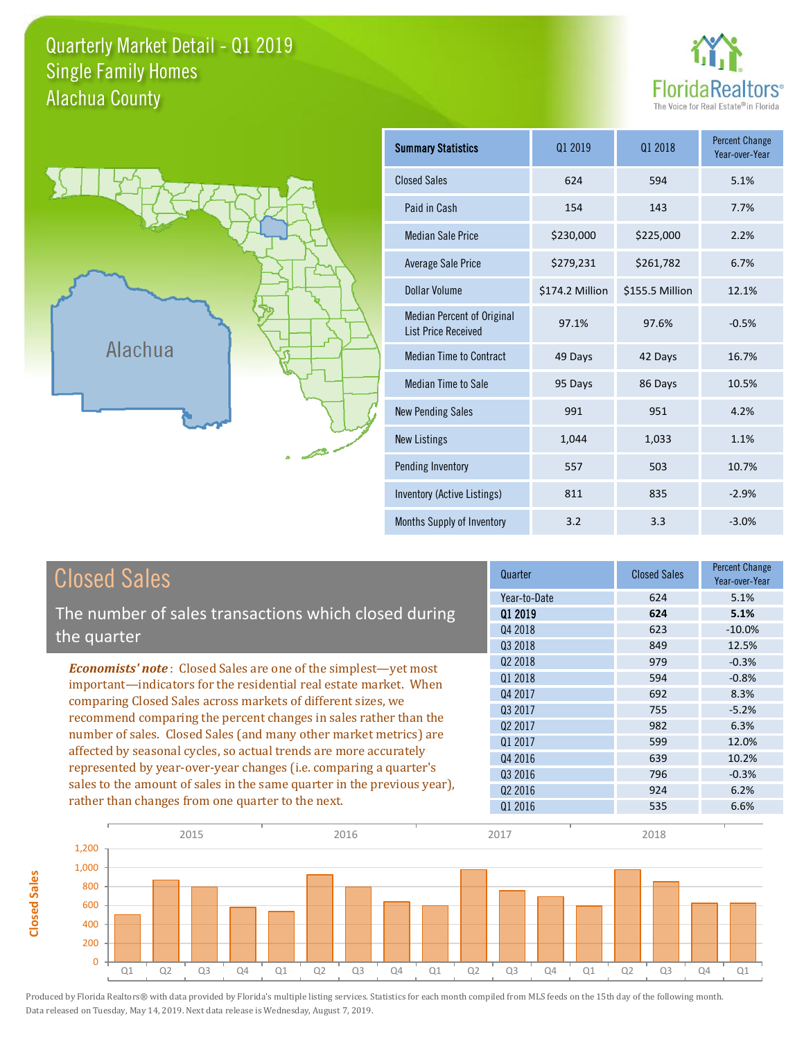## Quarterly Market Detail - Q1 2019 Alachua County Single Family Homes





**Closed Sales**

**Closed Sales** 

| <b>Summary Statistics</b>                                       | 01 2019         | 01 2018         |         |
|-----------------------------------------------------------------|-----------------|-----------------|---------|
| <b>Closed Sales</b>                                             | 624             | 594             | 5.1%    |
| Paid in Cash                                                    | 154             | 143             | 7.7%    |
| <b>Median Sale Price</b>                                        | \$230,000       | \$225,000       | 2.2%    |
| <b>Average Sale Price</b>                                       | \$279,231       | \$261,782       | 6.7%    |
| Dollar Volume                                                   | \$174.2 Million | \$155.5 Million | 12.1%   |
| <b>Median Percent of Original</b><br><b>List Price Received</b> | 97.1%           | 97.6%           | $-0.5%$ |
| <b>Median Time to Contract</b>                                  | 49 Days         | 42 Days         | 16.7%   |
| <b>Median Time to Sale</b>                                      | 95 Days         | 86 Days         | 10.5%   |
| <b>New Pending Sales</b>                                        | 991             | 951             | 4.2%    |
| <b>New Listings</b>                                             | 1,044           | 1,033           | 1.1%    |
| Pending Inventory                                               | 557             | 503             | 10.7%   |
| Inventory (Active Listings)                                     | 811             | 835             | $-2.9%$ |
| Months Supply of Inventory                                      | 3.2             | 3.3             | $-3.0%$ |

| <b>Closed Sales</b>                                                                                                                                                                                   | Quarter             | <b>Closed Sales</b> | <b>Percent Change</b><br>Year-over-Year |
|-------------------------------------------------------------------------------------------------------------------------------------------------------------------------------------------------------|---------------------|---------------------|-----------------------------------------|
|                                                                                                                                                                                                       | Year-to-Date        | 624                 | 5.1%                                    |
| The number of sales transactions which closed during                                                                                                                                                  | 01 2019             | 624                 | 5.1%                                    |
| the quarter                                                                                                                                                                                           | Q4 2018             | 623                 | $-10.0\%$                               |
|                                                                                                                                                                                                       | 03 2018             | 849                 | 12.5%                                   |
| <b>Economists' note:</b> Closed Sales are one of the simplest-yet most                                                                                                                                | Q <sub>2</sub> 2018 | 979                 | $-0.3%$                                 |
| important—indicators for the residential real estate market. When                                                                                                                                     | Q1 2018             | 594                 | $-0.8%$                                 |
| comparing Closed Sales across markets of different sizes, we<br>recommend comparing the percent changes in sales rather than the<br>number of sales. Closed Sales (and many other market metrics) are | Q4 2017             | 692                 | 8.3%                                    |
|                                                                                                                                                                                                       | 03 2017             | 755                 | $-5.2%$                                 |
|                                                                                                                                                                                                       | Q <sub>2</sub> 2017 | 982                 | 6.3%                                    |
|                                                                                                                                                                                                       | 01 2017             | 599                 | 12.0%                                   |
| affected by seasonal cycles, so actual trends are more accurately                                                                                                                                     | Q4 2016             | 639                 | 10.2%                                   |
| represented by year-over-year changes (i.e. comparing a quarter's                                                                                                                                     | 03 2016             | 796                 | $-0.3%$                                 |
| sales to the amount of sales in the same quarter in the previous year),                                                                                                                               | 02 2016             | 924                 | 6.2%                                    |
| rather than changes from one quarter to the next.                                                                                                                                                     | Q1 2016             | 535                 | 6.6%                                    |

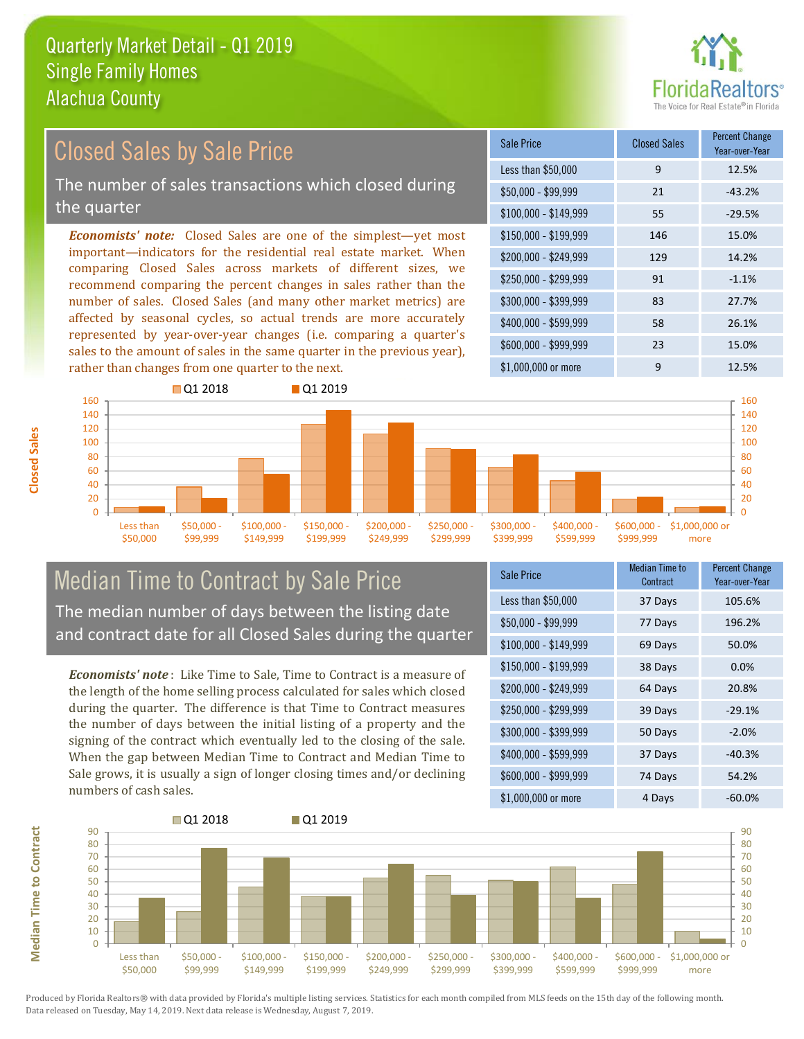

#### *Economists' note:* Closed Sales are one of the simplest—yet most important—indicators for the residential real estate market. When comparing Closed Sales across markets of different sizes, we recommend comparing the percent changes in sales rather than the number of sales. Closed Sales (and many other market metrics) are affected by seasonal cycles, so actual trends are more accurately represented by year-over-year changes (i.e. comparing a quarter's sales to the amount of sales in the same quarter in the previous year), rather than changes from one quarter to the next. \$1,000,000 or more 9 12.5%  $$250,000 - $299,999$  91 -1.1% \$300,000 - \$399,999 83 27.7% \$400,000 - \$599,999 58 26.1% \$600,000 - \$999,999 23 15.0% \$150,000 - \$199,999 146 15.0% \$200,000 - \$249,999 129 14.2% \$100,000 - \$149,999 55 -29.5% Sale Price Closed Sales Percent Change Year-over-Year Less than \$50,000 9 12.5%  $$50,000 - $99,999$  21  $-43.2\%$ Closed Sales by Sale Price The number of sales transactions which closed during the quarter



## Median Time to Contract by Sale Price The median number of days between the listing date and contract date for all Closed Sales during the quarter

*Economists' note* : Like Time to Sale, Time to Contract is a measure of the length of the home selling process calculated for sales which closed during the quarter. The difference is that Time to Contract measures the number of days between the initial listing of a property and the signing of the contract which eventually led to the closing of the sale. When the gap between Median Time to Contract and Median Time to Sale grows, it is usually a sign of longer closing times and/or declining numbers of cash sales.

| Sale Price            | Median Time to<br>Contract | <b>Percent Change</b><br>Year-over-Year |
|-----------------------|----------------------------|-----------------------------------------|
| Less than \$50,000    | 37 Days                    | 105.6%                                  |
| \$50,000 - \$99,999   | 77 Days                    | 196.2%                                  |
| $$100,000 - $149,999$ | 69 Days                    | 50.0%                                   |
| $$150,000 - $199,999$ | 38 Days                    | 0.0%                                    |
| \$200,000 - \$249,999 | 64 Days                    | 20.8%                                   |
| \$250,000 - \$299,999 | 39 Days                    | $-29.1%$                                |
| \$300,000 - \$399,999 | 50 Days                    | $-2.0%$                                 |
| \$400,000 - \$599,999 | 37 Days                    | $-40.3%$                                |
| \$600,000 - \$999,999 | 74 Days                    | 54.2%                                   |
| \$1,000,000 or more   | 4 Days                     | $-60.0\%$                               |



Produced by Florida Realtors® with data provided by Florida's multiple listing services. Statistics for each month compiled from MLS feeds on the 15th day of the following month. Data released on Tuesday, May 14, 2019. Next data release is Wednesday, August 7, 2019.

**Median Time to Contract**

**Median Time to Contract**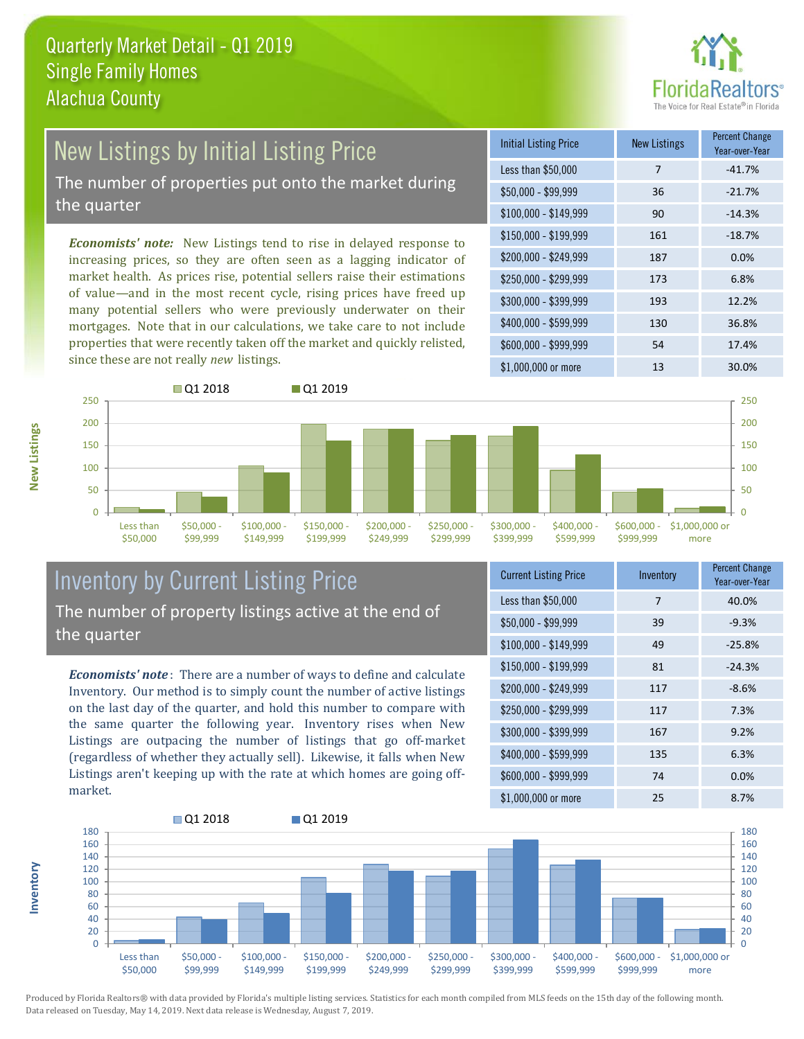

# New Listings by Initial Listing Price

The number of properties put onto the market during the quarter

*Economists' note:* New Listings tend to rise in delayed response to increasing prices, so they are often seen as a lagging indicator of market health. As prices rise, potential sellers raise their estimations of value—and in the most recent cycle, rising prices have freed up many potential sellers who were previously underwater on their mortgages. Note that in our calculations, we take care to not include properties that were recently taken off the market and quickly relisted, since these are not really *new* listings.





## Inventory by Current Listing Price The number of property listings active at the end of the quarter

*Economists' note* : There are a number of ways to define and calculate Inventory. Our method is to simply count the number of active listings on the last day of the quarter, and hold this number to compare with the same quarter the following year. Inventory rises when New Listings are outpacing the number of listings that go off-market (regardless of whether they actually sell). Likewise, it falls when New Listings aren't keeping up with the rate at which homes are going offmarket.

| <b>Current Listing Price</b> | Inventory | <b>Percent Change</b><br>Year-over-Year |
|------------------------------|-----------|-----------------------------------------|
| Less than \$50,000           | 7         | 40.0%                                   |
| $$50,000 - $99,999$          | 39        | $-9.3%$                                 |
| $$100,000 - $149,999$        | 49        | $-25.8%$                                |
| \$150,000 - \$199,999        | 81        | $-24.3%$                                |
| \$200,000 - \$249,999        | 117       | $-8.6%$                                 |
| \$250,000 - \$299,999        | 117       | 7.3%                                    |
| \$300,000 - \$399,999        | 167       | 9.2%                                    |
| \$400,000 - \$599,999        | 135       | 6.3%                                    |
| \$600,000 - \$999,999        | 74        | 0.0%                                    |
| \$1,000,000 or more          | 25        | 8.7%                                    |



**New Listings**

**Inventory**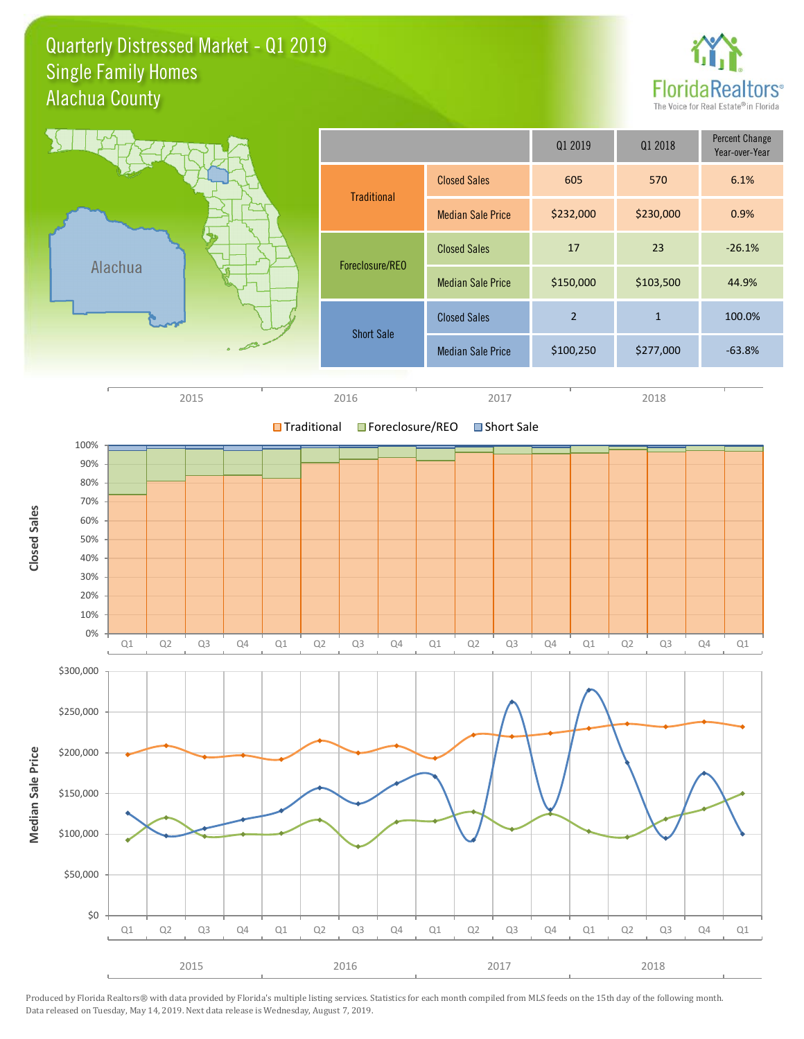Quarterly Distressed Market - Q1 2019 Alachua County Single Family Homes



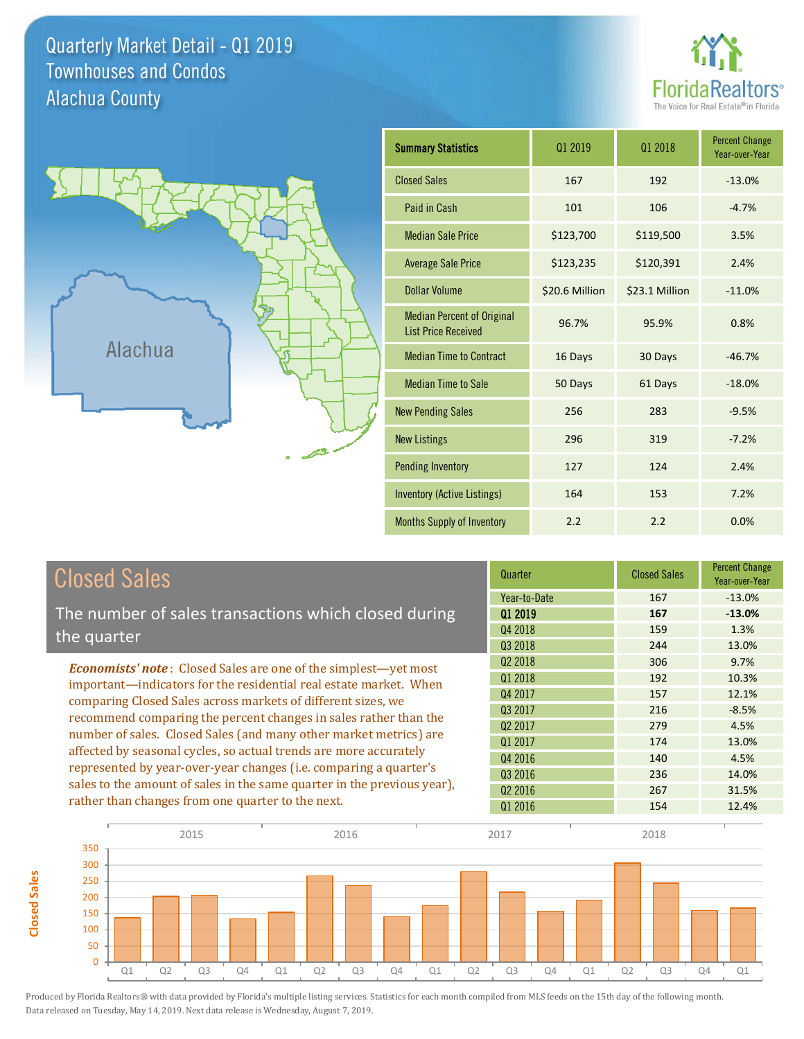Quarterly Market Detail - Q1 2019 Alachua County Townhouses and Condos





**Closed Sales**

**Closed Sales** 

| <b>Summary Statistics</b>                                       | 01 2019        | 01 2018        | <b>Percent Change</b><br>Year-over-Year |
|-----------------------------------------------------------------|----------------|----------------|-----------------------------------------|
| <b>Closed Sales</b>                                             | 167            | 192            | $-13.0%$                                |
| Paid in Cash                                                    | 101            | 106            | $-4.7%$                                 |
| <b>Median Sale Price</b>                                        | \$123,700      | \$119,500      | 3.5%                                    |
| <b>Average Sale Price</b>                                       | \$123,235      | \$120,391      | 2.4%                                    |
| Dollar Volume                                                   | \$20.6 Million | \$23.1 Million | $-11.0%$                                |
| <b>Median Percent of Original</b><br><b>List Price Received</b> | 96.7%          | 95.9%          | 0.8%                                    |
| <b>Median Time to Contract</b>                                  | 16 Days        | 30 Days        | $-46.7%$                                |
| <b>Median Time to Sale</b>                                      | 50 Days        | 61 Days        | $-18.0%$                                |
| <b>New Pending Sales</b>                                        | 256            | 283            | $-9.5%$                                 |
| <b>New Listings</b>                                             | 296            | 319            | $-7.2%$                                 |
| <b>Pending Inventory</b>                                        | 127            | 124            | 2.4%                                    |
| <b>Inventory (Active Listings)</b>                              | 164            | 153            | 7.2%                                    |
| Months Supply of Inventory                                      | 2.2            | 2.2            | 0.0%                                    |

| <b>Closed Sales</b>                                                                                                                    | Quarter             | <b>Closed Sales</b> | <b>Percent Change</b><br>Year-over-Year |
|----------------------------------------------------------------------------------------------------------------------------------------|---------------------|---------------------|-----------------------------------------|
|                                                                                                                                        | Year-to-Date        | 167                 | $-13.0%$                                |
| The number of sales transactions which closed during                                                                                   | 01 2019             | 167                 | $-13.0%$                                |
| the quarter                                                                                                                            | Q4 2018             | 159                 | 1.3%                                    |
|                                                                                                                                        | Q3 2018             | 244                 | 13.0%                                   |
| <b>Economists' note:</b> Closed Sales are one of the simplest—yet most                                                                 | Q <sub>2</sub> 2018 | 306                 | 9.7%                                    |
| important—indicators for the residential real estate market. When                                                                      | Q1 2018             | 192                 | 10.3%                                   |
| comparing Closed Sales across markets of different sizes, we                                                                           | Q4 2017             | 157                 | 12.1%                                   |
| recommend comparing the percent changes in sales rather than the                                                                       | Q3 2017             | 216                 | $-8.5%$                                 |
| number of sales. Closed Sales (and many other market metrics) are<br>affected by seasonal cycles, so actual trends are more accurately | Q <sub>2</sub> 2017 | 279                 | 4.5%                                    |
|                                                                                                                                        | 01 2017             | 174                 | 13.0%                                   |
|                                                                                                                                        | Q4 2016             | 140                 | 4.5%                                    |
| represented by year-over-year changes (i.e. comparing a quarter's                                                                      | Q3 2016             | 236                 | 14.0%                                   |
| sales to the amount of sales in the same quarter in the previous year),                                                                | Q <sub>2</sub> 2016 | 267                 | 31.5%                                   |
| rather than changes from one quarter to the next.                                                                                      | Q1 2016             | 154                 | 12.4%                                   |

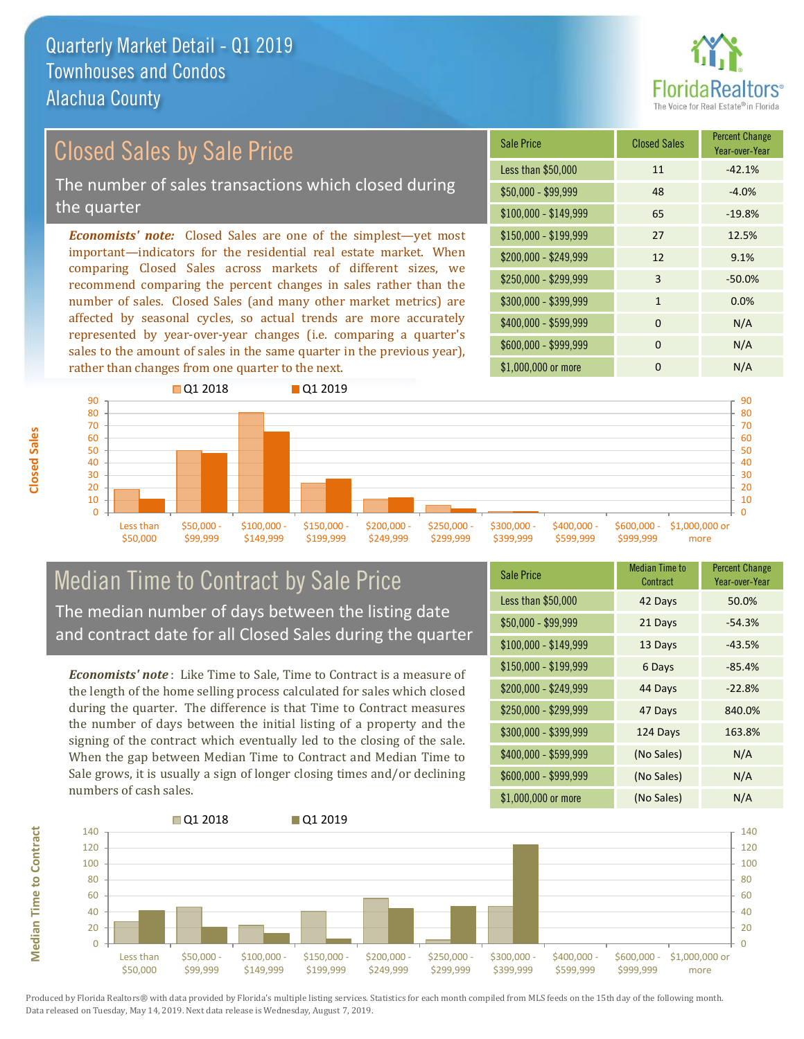

## Closed Sales by Sale Price

The number of sales transactions which closed during the quarter

*Economists' note:* Closed Sales are one of the simplest—yet most important—indicators for the residential real estate market. When comparing Closed Sales across markets of different sizes, we recommend comparing the percent changes in sales rather than the number of sales. Closed Sales (and many other market metrics) are affected by seasonal cycles, so actual trends are more accurately represented by year-over-year changes (i.e. comparing a quarter's sales to the amount of sales in the same quarter in the previous year), rather than changes from one quarter to the next.

| Sale Price            | <b>Closed Sales</b> | <b>Percent Change</b><br>Year-over-Year |
|-----------------------|---------------------|-----------------------------------------|
| Less than \$50,000    | 11                  | $-42.1%$                                |
| $$50,000 - $99,999$   | 48                  | $-4.0%$                                 |
| $$100,000 - $149,999$ | 65                  | $-19.8%$                                |
| $$150,000 - $199,999$ | 27                  | 12.5%                                   |
| \$200,000 - \$249,999 | 12                  | 9.1%                                    |
| \$250,000 - \$299,999 | 3                   | $-50.0%$                                |
| \$300,000 - \$399,999 | $\mathbf{1}$        | 0.0%                                    |
| \$400,000 - \$599,999 | $\Omega$            | N/A                                     |
| \$600,000 - \$999,999 | $\Omega$            | N/A                                     |
| \$1,000,000 or more   | O                   | N/A                                     |



## Median Time to Contract by Sale Price The median number of days between the listing date and contract date for all Closed Sales during the quarter

*Economists' note* : Like Time to Sale, Time to Contract is a measure of the length of the home selling process calculated for sales which closed during the quarter. The difference is that Time to Contract measures the number of days between the initial listing of a property and the signing of the contract which eventually led to the closing of the sale. When the gap between Median Time to Contract and Median Time to Sale grows, it is usually a sign of longer closing times and/or declining numbers of cash sales.

| <b>Sale Price</b>     | <b>Median Time to</b><br>Contract | <b>Percent Change</b><br>Year-over-Year |
|-----------------------|-----------------------------------|-----------------------------------------|
| Less than \$50,000    | 42 Days                           | 50.0%                                   |
| $$50,000 - $99,999$   | 21 Days                           | $-54.3%$                                |
| $$100,000 - $149,999$ | 13 Days                           | $-43.5%$                                |
| $$150,000 - $199,999$ | 6 Days                            | $-85.4%$                                |
| \$200,000 - \$249,999 | 44 Days                           | $-22.8%$                                |
| \$250,000 - \$299,999 | 47 Days                           | 840.0%                                  |
| \$300,000 - \$399,999 | 124 Days                          | 163.8%                                  |
| \$400,000 - \$599,999 | (No Sales)                        | N/A                                     |
| \$600,000 - \$999,999 | (No Sales)                        | N/A                                     |
| \$1,000,000 or more   | (No Sales)                        | N/A                                     |



Produced by Florida Realtors® with data provided by Florida's multiple listing services. Statistics for each month compiled from MLS feeds on the 15th day of the following month. Data released on Tuesday, May 14, 2019. Next data release is Wednesday, August 7, 2019.

**Median Time to Contract**

**Median Time to Contract**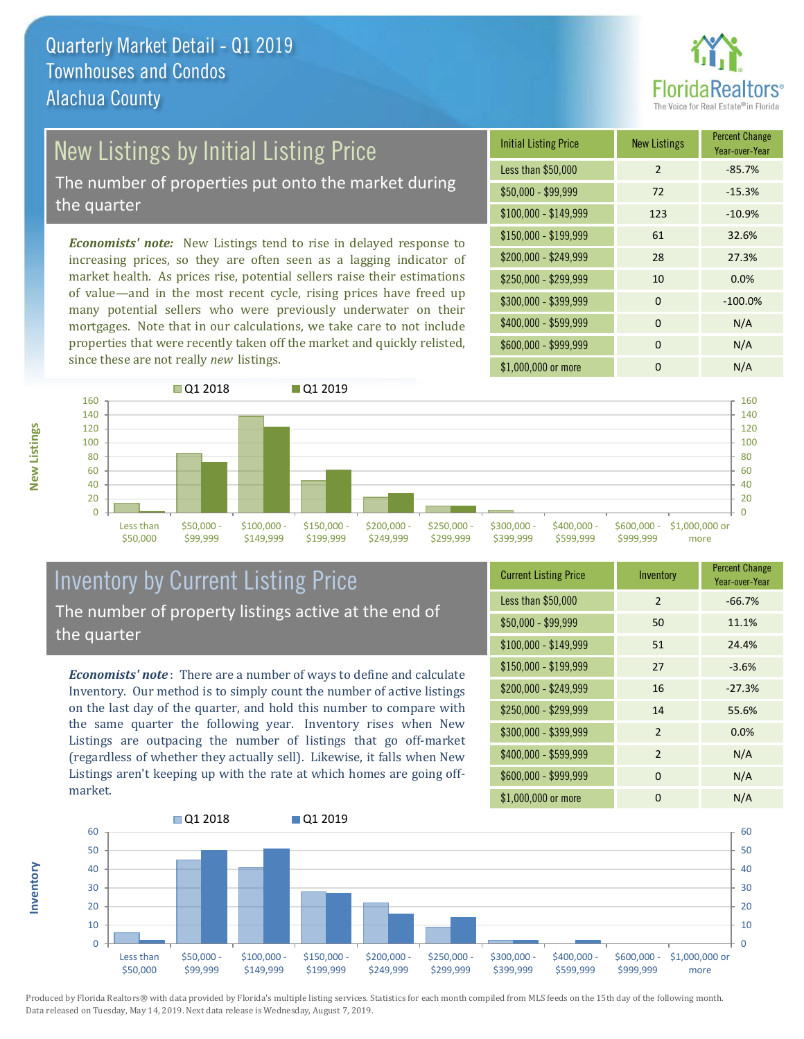

## New Listings by Initial Listing Price

The number of properties put onto the market during the quarter

*Economists' note:* New Listings tend to rise in delayed response to increasing prices, so they are often seen as a lagging indicator of market health. As prices rise, potential sellers raise their estimations of value—and in the most recent cycle, rising prices have freed up many potential sellers who were previously underwater on their mortgages. Note that in our calculations, we take care to not include properties that were recently taken off the market and quickly relisted, since these are not really *new* listings.

| <b>Initial Listing Price</b> | <b>New Listings</b> | <b>Percent Change</b><br>Year-over-Year |
|------------------------------|---------------------|-----------------------------------------|
| Less than \$50,000           | 2                   | $-85.7%$                                |
| \$50,000 - \$99,999          | 72                  | $-15.3%$                                |
| $$100,000 - $149,999$        | 123                 | $-10.9%$                                |
| $$150,000 - $199,999$        | 61                  | 32.6%                                   |
| \$200,000 - \$249,999        | 28                  | 27.3%                                   |
| \$250,000 - \$299,999        | 10                  | 0.0%                                    |
| \$300,000 - \$399,999        | $\Omega$            | $-100.0%$                               |
| \$400,000 - \$599,999        | 0                   | N/A                                     |
| \$600,000 - \$999,999        | $\Omega$            | N/A                                     |
| \$1,000,000 or more          | O                   | N/A                                     |



## Inventory by Current Listing Price The number of property listings active at the end of the quarter

*Economists' note* : There are a number of ways to define and calculate Inventory. Our method is to simply count the number of active listings on the last day of the quarter, and hold this number to compare with the same quarter the following year. Inventory rises when New Listings are outpacing the number of listings that go off-market (regardless of whether they actually sell). Likewise, it falls when New Listings aren't keeping up with the rate at which homes are going offmarket.

**Inventory**

**New Listings**

| <b>Current Listing Price</b> | Inventory      | <b>Percent Change</b><br>Year-over-Year |
|------------------------------|----------------|-----------------------------------------|
| Less than \$50,000           | $\mathfrak{D}$ | $-66.7%$                                |
| $$50,000 - $99,999$          | 50             | 11.1%                                   |
| $$100,000 - $149,999$        | 51             | 24.4%                                   |
| $$150,000 - $199,999$        | 27             | $-3.6%$                                 |
| \$200,000 - \$249,999        | 16             | $-27.3%$                                |
| \$250,000 - \$299,999        | 14             | 55.6%                                   |
| \$300,000 - \$399,999        | 2              | 0.0%                                    |
| \$400,000 - \$599,999        | $\overline{2}$ | N/A                                     |
| \$600,000 - \$999,999        | $\Omega$       | N/A                                     |
| \$1,000,000 or more          | 0              | N/A                                     |

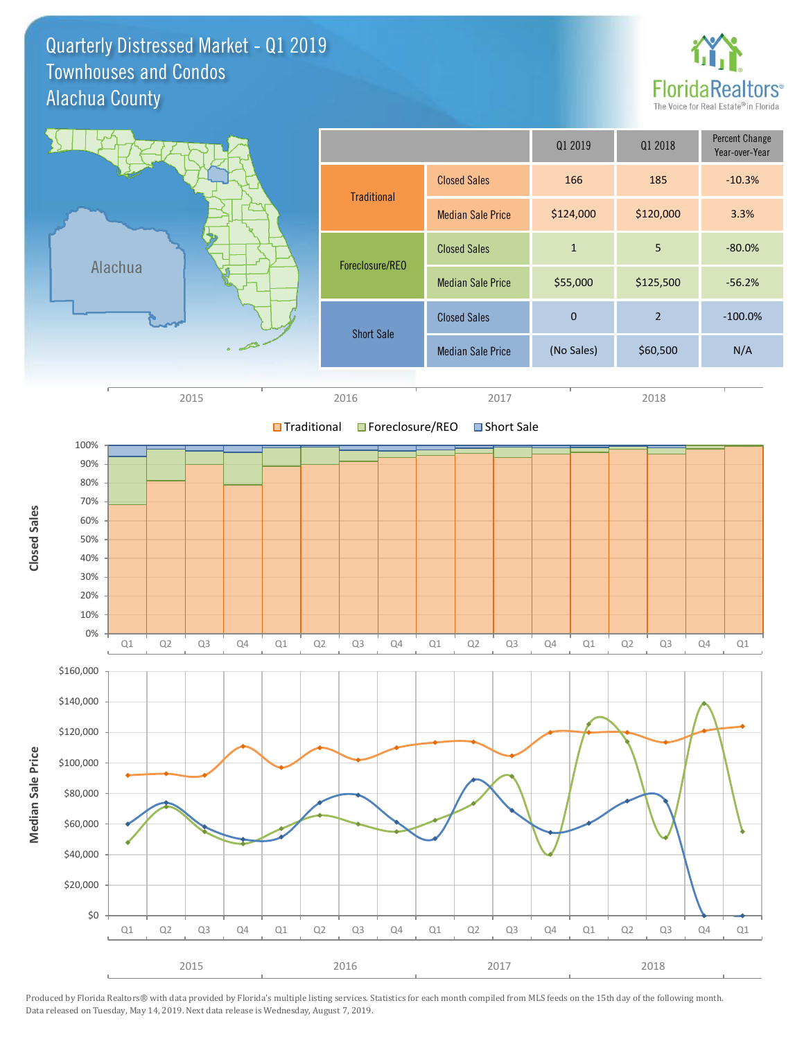Quarterly Distressed Market - Q1 2019 Alachua County Townhouses and Condos



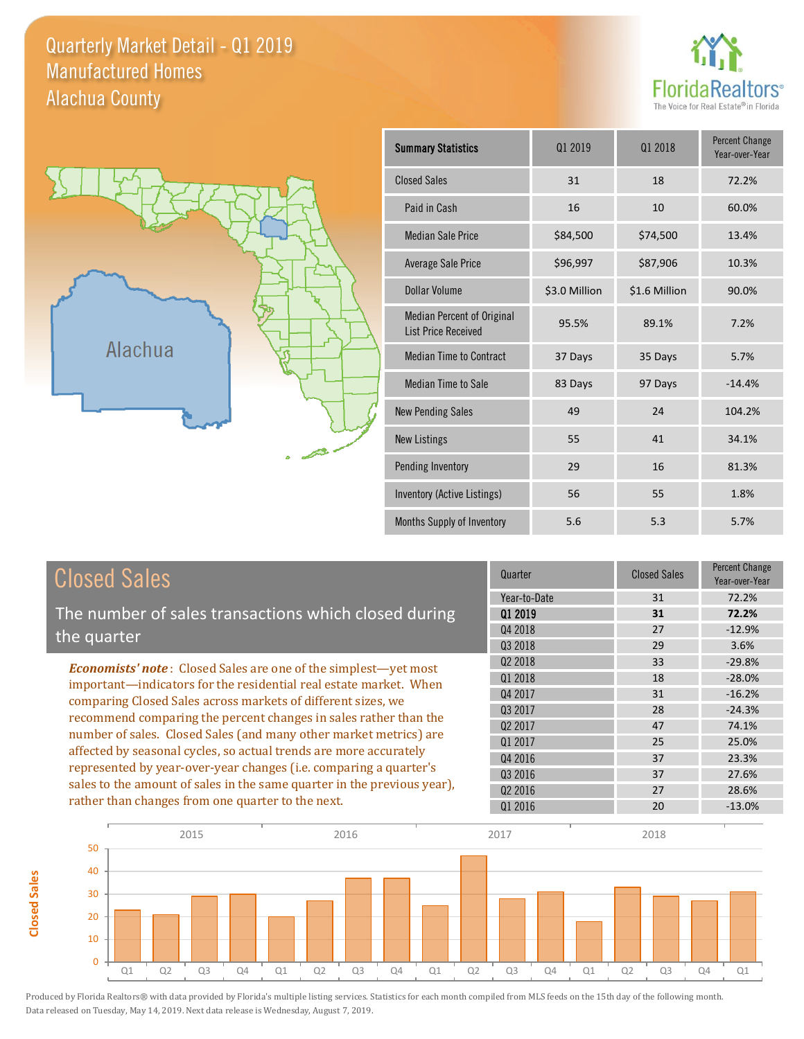### Quarterly Market Detail - Q1 2019 Alachua County Manufactured Homes





**Closed Sales**

**Closed Sales** 

| <b>Summary Statistics</b>                                       | 01 2019       | 01 2018       | <b>Percent Change</b><br>Year-over-Year |
|-----------------------------------------------------------------|---------------|---------------|-----------------------------------------|
| <b>Closed Sales</b>                                             | 31            | 18            | 72.2%                                   |
| Paid in Cash                                                    | 16            | 10            | 60.0%                                   |
| <b>Median Sale Price</b>                                        | \$84,500      | \$74,500      | 13.4%                                   |
| Average Sale Price                                              | \$96,997      | \$87,906      | 10.3%                                   |
| Dollar Volume                                                   | \$3.0 Million | \$1.6 Million | 90.0%                                   |
| <b>Median Percent of Original</b><br><b>List Price Received</b> | 95.5%         | 89.1%         | 7.2%                                    |
| <b>Median Time to Contract</b>                                  | 37 Days       | 35 Days       | 5.7%                                    |
| <b>Median Time to Sale</b>                                      | 83 Days       | 97 Days       | $-14.4%$                                |
| <b>New Pending Sales</b>                                        | 49            | 24            | 104.2%                                  |
| <b>New Listings</b>                                             | 55            | 41            | 34.1%                                   |
| Pending Inventory                                               | 29            | 16            | 81.3%                                   |
| Inventory (Active Listings)                                     | 56            | 55            | 1.8%                                    |
| Months Supply of Inventory                                      | 5.6           | 5.3           | 5.7%                                    |

| <b>Closed Sales</b>                                                     | Quarter             | <b>Closed Sales</b> | <b>Percent Change</b><br>Year-over-Year |
|-------------------------------------------------------------------------|---------------------|---------------------|-----------------------------------------|
|                                                                         | Year-to-Date        | 31                  | 72.2%                                   |
| The number of sales transactions which closed during                    | 01 2019             | 31                  | 72.2%                                   |
| the quarter                                                             | Q4 2018             | 27                  | $-12.9%$                                |
|                                                                         | Q3 2018             | 29                  | 3.6%                                    |
| <b>Economists' note:</b> Closed Sales are one of the simplest—yet most  | Q <sub>2</sub> 2018 | 33                  | $-29.8%$                                |
| important—indicators for the residential real estate market. When       | 01 2018             | 18                  | $-28.0%$                                |
| comparing Closed Sales across markets of different sizes, we            | Q4 2017             | 31                  | $-16.2%$                                |
| recommend comparing the percent changes in sales rather than the        | Q3 2017             | 28                  | $-24.3%$                                |
| number of sales. Closed Sales (and many other market metrics) are       | 02 2017             | 47                  | 74.1%                                   |
|                                                                         | 01 2017             | 25                  | 25.0%                                   |
| affected by seasonal cycles, so actual trends are more accurately       | Q4 2016             | 37                  | 23.3%                                   |
| represented by year-over-year changes (i.e. comparing a quarter's       | Q3 2016             | 37                  | 27.6%                                   |
| sales to the amount of sales in the same quarter in the previous year), | 02 2016             | 27                  | 28.6%                                   |
| rather than changes from one quarter to the next.                       | 01 2016             | 20                  | $-13.0%$                                |

I

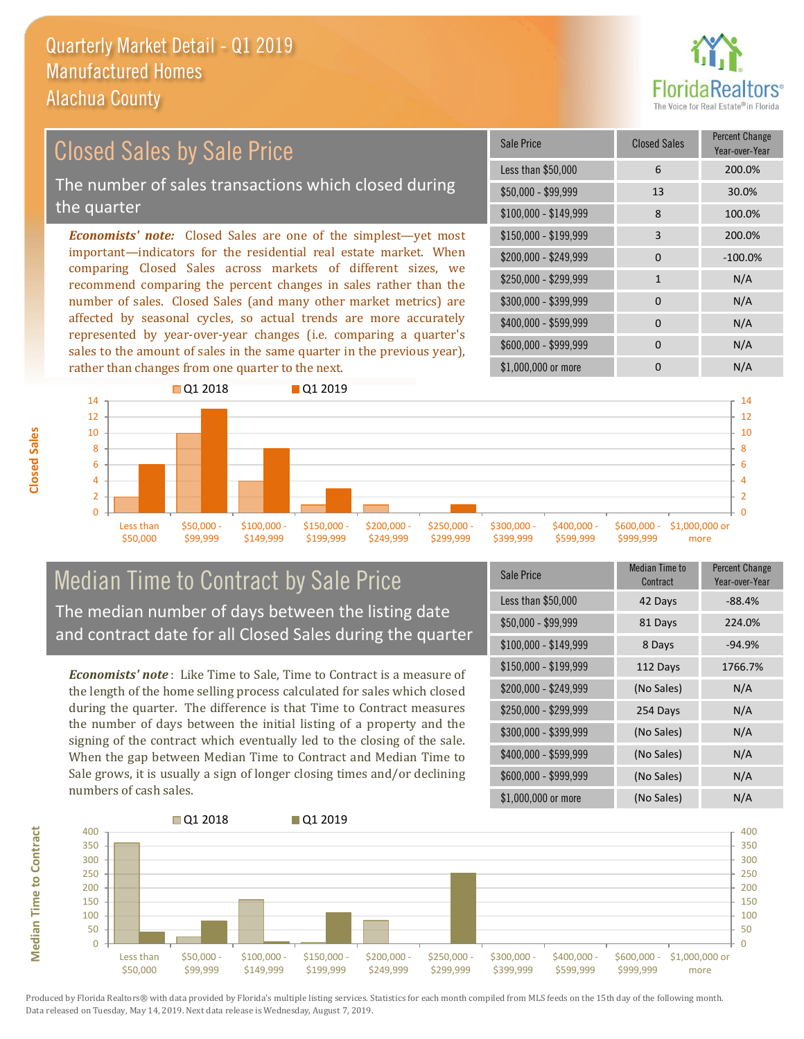

### *Economists' note:* Closed Sales are one of the simplest—yet most important—indicators for the residential real estate market. When comparing Closed Sales across markets of different sizes, we recommend comparing the percent changes in sales rather than the number of sales. Closed Sales (and many other market metrics) are  $$250,000 - $299,999$  1 N/A \$300,000 - \$399,999 0 0 N/A \$150,000 - \$199,999 3 200.0% \$100,000 - \$149,999 8 100.0% Sale Price Closed Sales Percent Change Year-over-Year Less than \$50,000 6 200.0% \$50,000 - \$99,999 13 30.0% Closed Sales by Sale Price The number of sales transactions which closed during the quarter

affected by seasonal cycles, so actual trends are more accurately represented by year-over-year changes (i.e. comparing a quarter's sales to the amount of sales in the same quarter in the previous year), rather than changes from one quarter to the next.





## Median Time to Contract by Sale Price The median number of days between the listing date and contract date for all Closed Sales during the quarter

*Economists' note* : Like Time to Sale, Time to Contract is a measure of the length of the home selling process calculated for sales which closed during the quarter. The difference is that Time to Contract measures the number of days between the initial listing of a property and the signing of the contract which eventually led to the closing of the sale. When the gap between Median Time to Contract and Median Time to Sale grows, it is usually a sign of longer closing times and/or declining numbers of cash sales.

| <b>Sale Price</b>     | Median Time to<br>Contract | Percent Change<br>Year-over-Year |
|-----------------------|----------------------------|----------------------------------|
| Less than \$50,000    | 42 Days                    | $-88.4%$                         |
| $$50,000 - $99,999$   | 81 Days                    | 224.0%                           |
| $$100,000 - $149,999$ | 8 Days                     | $-94.9%$                         |
| $$150,000 - $199,999$ | 112 Days                   | 1766.7%                          |
| $$200,000 - $249,999$ | (No Sales)                 | N/A                              |
| \$250,000 - \$299,999 | 254 Days                   | N/A                              |
| \$300,000 - \$399,999 | (No Sales)                 | N/A                              |
| \$400,000 - \$599,999 | (No Sales)                 | N/A                              |
| \$600,000 - \$999,999 | (No Sales)                 | N/A                              |
| \$1,000,000 or more   | (No Sales)                 | N/A                              |



**Closed Sales**

**Median Time to Contract Median Time to Contract**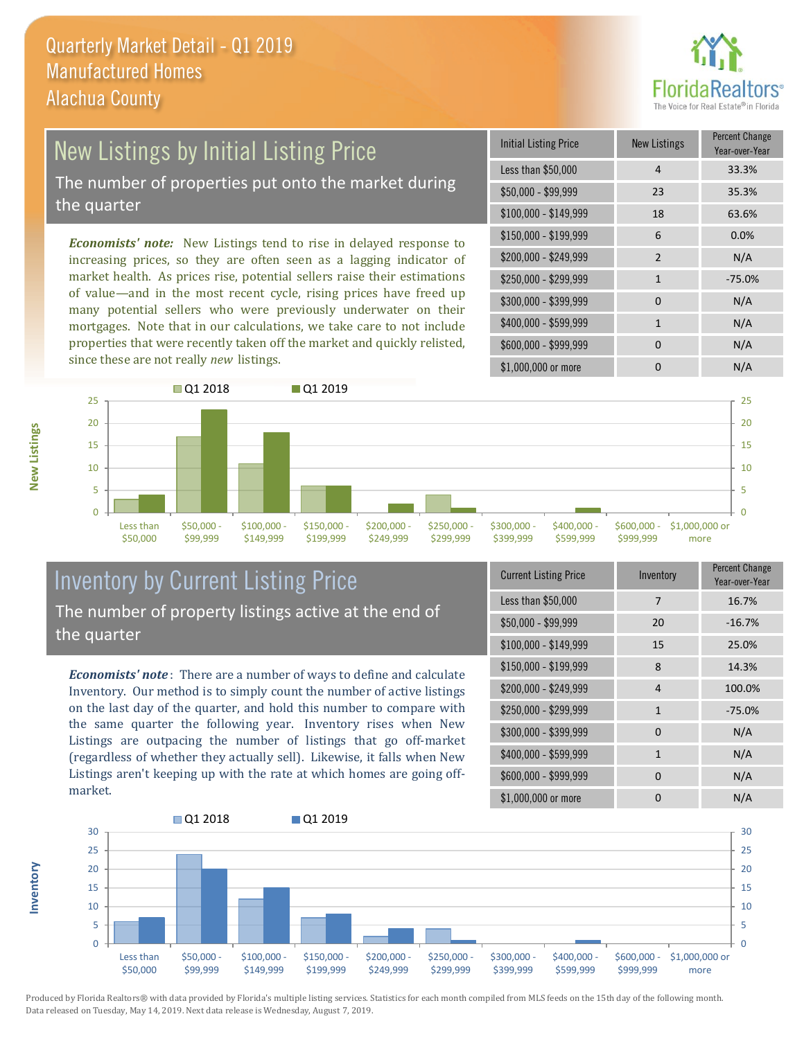

# New Listings by Initial Listing Price

The number of properties put onto the market during the quarter

*Economists' note:* New Listings tend to rise in delayed response to increasing prices, so they are often seen as a lagging indicator of market health. As prices rise, potential sellers raise their estimations of value—and in the most recent cycle, rising prices have freed up many potential sellers who were previously underwater on their mortgages. Note that in our calculations, we take care to not include properties that were recently taken off the market and quickly relisted, since these are not really *new* listings.

| Initial Listing Price | New Listings   | <b>Percent Change</b><br>Year-over-Year |
|-----------------------|----------------|-----------------------------------------|
| Less than \$50,000    | 4              | 33.3%                                   |
| $$50,000 - $99,999$   | 23             | 35.3%                                   |
| $$100,000 - $149,999$ | 18             | 63.6%                                   |
| \$150,000 - \$199,999 | 6              | 0.0%                                    |
| \$200,000 - \$249,999 | $\overline{2}$ | N/A                                     |
| \$250,000 - \$299,999 | $\mathbf{1}$   | $-75.0%$                                |
| \$300,000 - \$399,999 | $\Omega$       | N/A                                     |
| \$400,000 - \$599,999 | 1              | N/A                                     |
| \$600,000 - \$999,999 | $\Omega$       | N/A                                     |
| \$1,000,000 or more   | n              | N/A                                     |



## Inventory by Current Listing Price The number of property listings active at the end of the quarter

*Economists' note* : There are a number of ways to define and calculate Inventory. Our method is to simply count the number of active listings on the last day of the quarter, and hold this number to compare with the same quarter the following year. Inventory rises when New Listings are outpacing the number of listings that go off-market (regardless of whether they actually sell). Likewise, it falls when New Listings aren't keeping up with the rate at which homes are going offmarket.

| <b>Current Listing Price</b> | Inventory    | Percent Change<br>Year-over-Year |
|------------------------------|--------------|----------------------------------|
| Less than \$50,000           | 7            | 16.7%                            |
| $$50,000 - $99,999$          | 20           | $-16.7%$                         |
| \$100,000 - \$149,999        | 15           | 25.0%                            |
| $$150,000 - $199,999$        | 8            | 14.3%                            |
| \$200,000 - \$249,999        | 4            | 100.0%                           |
| \$250,000 - \$299,999        | $\mathbf{1}$ | $-75.0%$                         |
| \$300,000 - \$399,999        | $\Omega$     | N/A                              |
| \$400,000 - \$599,999        | $\mathbf{1}$ | N/A                              |
| \$600,000 - \$999,999        | <sup>0</sup> | N/A                              |
| \$1,000,000 or more          | ŋ            | N/A                              |



**New Listings**

**Inventory**